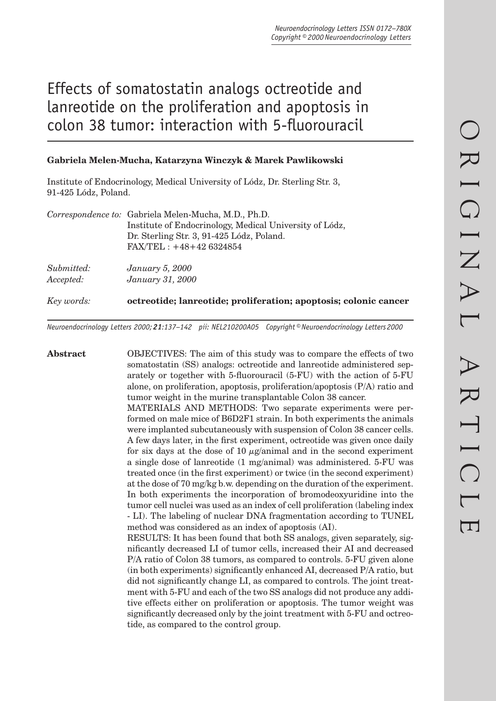# Effects of somatostatin analogs octreotide and lanreotide on the proliferation and apoptosis in colon 38 tumor: interaction with 5-fluorouracil

# **Gabriela Melen-Mucha, Katarzyna Winczyk & Marek Pawlikowski**

Institute of Endocrinology, Medical University of Lódz, Dr. Sterling Str. 3, 91-425 Lódz, Poland.

|            | Correspondence to: Gabriela Melen-Mucha, M.D., Ph.D.             |
|------------|------------------------------------------------------------------|
|            | Institute of Endocrinology, Medical University of Lódz,          |
|            | Dr. Sterling Str. 3, 91-425 Lódz, Poland.                        |
|            | $FAX/TEL: +48+426324854$                                         |
| Submitted: | <i>January 5, 2000</i>                                           |
| Accepted:  | January 31, 2000                                                 |
| Key words: | octreotide; lanreotide; proliferation; apoptosis; colonic cancer |

*Neuroendocrinology Letters 2000; 21:137–142 pii: NEL210200A05 Copyright © Neuroendocrinology Letters 2000*

**Abstract** OBJECTIVES: The aim of this study was to compare the effects of two somatostatin (SS) analogs: octreotide and lanreotide administered separately or together with 5-fluorouracil  $(5-FU)$  with the action of  $5-FU$ alone, on proliferation, apoptosis, proliferation/apoptosis (P/A) ratio and tumor weight in the murine transplantable Colon 38 cancer. MATERIALS AND METHODS: Two separate experiments were performed on male mice of B6D2F1 strain. In both experiments the animals were implanted subcutaneously with suspension of Colon 38 cancer cells. A few days later, in the first experiment, octreotide was given once daily for six days at the dose of 10  $\mu$ g/animal and in the second experiment a single dose of lanreotide (1 mg/animal) was administered. 5-FU was treated once (in the first experiment) or twice (in the second experiment) at the dose of 70 mg/kg b.w. depending on the duration of the experiment. In both experiments the incorporation of bromodeoxyuridine into the tumor cell nuclei was used as an index of cell proliferation (labeling index - LI). The labeling of nuclear DNA fragmentation according to TUNEL method was considered as an index of apoptosis (AI). RESULTS: It has been found that both SS analogs, given separately, significantly decreased LI of tumor cells, increased their AI and decreased P/A ratio of Colon 38 tumors, as compared to controls. 5-FU given alone  $(in both experiments)$  significantly enhanced AI, decreased  $P/A$  ratio, but did not significantly change LI, as compared to controls. The joint treatment with 5-FU and each of the two SS analogs did not produce any additive effects either on proliferation or apoptosis. The tumor weight was significantly decreased only by the joint treatment with 5-FU and octreotide, as compared to the control group.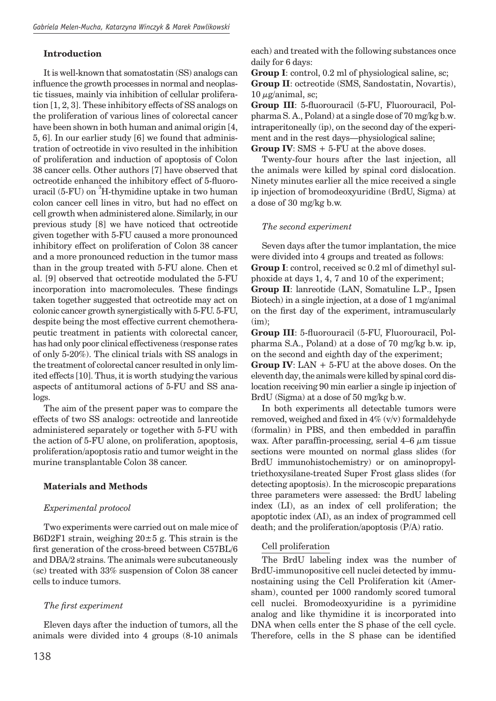# **Introduction**

It is well-known that somatostatin (SS) analogs can influence the growth processes in normal and neoplastic tissues, mainly via inhibition of cellular proliferation [1, 2, 3]. These inhibitory effects of SS analogs on the proliferation of various lines of colorectal cancer have been shown in both human and animal origin [4, 5, 6]. In our earlier study [6] we found that administration of octreotide in vivo resulted in the inhibition of proliferation and induction of apoptosis of Colon 38 cancer cells. Other authors [7] have observed that octreotide enhanced the inhibitory effect of 5-fluorouracil (5-FU) on <sup>3</sup>H-thymidine uptake in two human colon cancer cell lines in vitro, but had no effect on cell growth when administered alone. Similarly, in our previous study [8] we have noticed that octreotide given together with 5-FU caused a more pronounced inhibitory effect on proliferation of Colon 38 cancer and a more pronounced reduction in the tumor mass than in the group treated with 5-FU alone. Chen et al. [9] observed that octreotide modulated the 5-FU incorporation into macromolecules. These findings taken together suggested that octreotide may act on colonic cancer growth synergistically with 5-FU. 5-FU, despite being the most effective current chemotherapeutic treatment in patients with colorectal cancer, has had only poor clinical effectiveness (response rates of only 5-20%). The clinical trials with SS analogs in the treatment of colorectal cancer resulted in only limited effects [10]. Thus, it is worth studying the various aspects of antitumoral actions of 5-FU and SS analogs.

The aim of the present paper was to compare the effects of two SS analogs: octreotide and lanreotide administered separately or together with 5-FU with the action of 5-FU alone, on proliferation, apoptosis, proliferation/apoptosis ratio and tumor weight in the murine transplantable Colon 38 cancer.

# **Materials and Methods**

# *Experimental protocol*

Two experiments were carried out on male mice of B6D2F1 strain, weighing  $20 \pm 5$  g. This strain is the first generation of the cross-breed between C57BL/6 and DBA/2 strains. The animals were subcutaneously (sc) treated with 33% suspension of Colon 38 cancer cells to induce tumors.

# *The fi rst experiment*

Eleven days after the induction of tumors, all the animals were divided into 4 groups (8-10 animals each) and treated with the following substances once daily for 6 days:

**Group I**: control, 0.2 ml of physiological saline, sc; **Group II**: octreotide (SMS, Sandostatin, Novartis),  $10 \mu$ g/animal, sc;

Group III: 5-fluorouracil (5-FU, Fluorouracil, Polpharma S. A., Poland) at a single dose of 70 mg/kg b.w. intraperitoneally (ip), on the second day of the experiment and in the rest days—physiological saline; **Group IV**: SMS + 5-FU at the above doses.

Twenty-four hours after the last injection, all the animals were killed by spinal cord dislocation. Ninety minutes earlier all the mice received a single ip injection of bromodeoxyuridine (BrdU, Sigma) at a dose of 30 mg/kg b.w.

# *The second experiment*

Seven days after the tumor implantation, the mice were divided into 4 groups and treated as follows: **Group I**: control, received sc 0.2 ml of dimethyl sulphoxide at days 1, 4, 7 and 10 of the experiment; **Group II**: lanreotide (LAN, Somatuline L.P., Ipsen Biotech) in a single injection, at a dose of 1 mg/animal on the first day of the experiment, intramuscularly (im);

**Group III**: 5-fluorouracil (5-FU, Fluorouracil, Polpharma S.A., Poland) at a dose of 70 mg/kg b.w. ip, on the second and eighth day of the experiment; **Group IV**: LAN + 5-FU at the above doses. On the eleventh day, the animals were killed by spinal cord dislocation receiving 90 min earlier a single ip injection of BrdU (Sigma) at a dose of 50 mg/kg b.w.

In both experiments all detectable tumors were removed, weighed and fixed in  $4\%$  (v/v) formaldehyde (formalin) in PBS, and then embedded in paraffin wax. After paraffin-processing, serial  $4-6 \mu m$  tissue sections were mounted on normal glass slides (for BrdU immunohistochemistry) or on aminopropyltriethoxysilane-treated Super Frost glass slides (for detecting apoptosis). In the microscopic preparations three parameters were assessed: the BrdU labeling index (LI), as an index of cell proliferation; the apoptotic index (AI), as an index of programmed cell death; and the proliferation/apoptosis (P/A) ratio.

# Cell proliferation

The BrdU labeling index was the number of BrdU-immunopositive cell nuclei detected by immunostaining using the Cell Proliferation kit (Amersham), counted per 1000 randomly scored tumoral cell nuclei. Bromodeoxyuridine is a pyrimidine analog and like thymidine it is incorporated into DNA when cells enter the S phase of the cell cycle. Therefore, cells in the S phase can be identified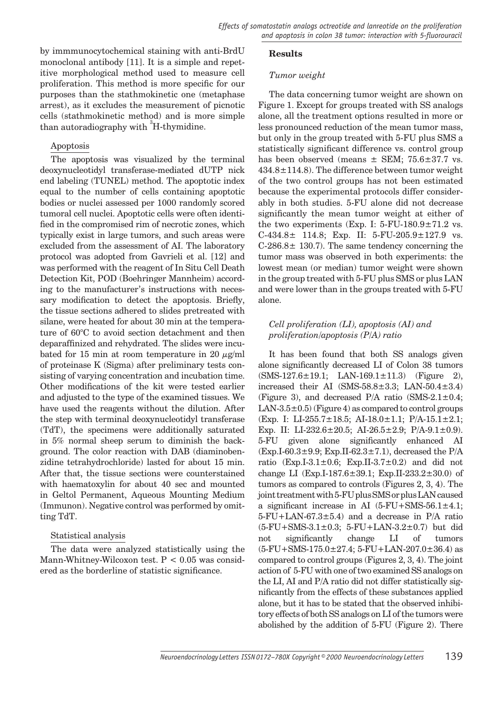by immmunocytochemical staining with anti-BrdU monoclonal antibody [11]. It is a simple and repetitive morphological method used to measure cell proliferation. This method is more specific for our purposes than the stathmokinetic one (metaphase arrest), as it excludes the measurement of picnotic cells (stathmokinetic method) and is more simple than autoradiography with  ${}^{3}\mathrm{H}\text{-thymidine.}$ 

## Apoptosis

The apoptosis was visualized by the terminal deoxynucleotidyl transferase-mediated dUTP nick end labeling (TUNEL) method. The apoptotic index equal to the number of cells containing apoptotic bodies or nuclei assessed per 1000 randomly scored tumoral cell nuclei. Apoptotic cells were often identified in the compromised rim of necrotic zones, which typically exist in large tumors, and such areas were excluded from the assessment of AI. The laboratory protocol was adopted from Gavrieli et al. [12] and was performed with the reagent of In Situ Cell Death Detection Kit, POD (Boehringer Mannheim) according to the manufacturer's instructions with necessary modification to detect the apoptosis. Briefly, the tissue sections adhered to slides pretreated with silane, were heated for about 30 min at the temperature of 60°C to avoid section detachment and then deparaffinized and rehydrated. The slides were incubated for 15 min at room temperature in 20  $\mu$ g/ml of proteinase K (Sigma) after preliminary tests consisting of varying concentration and incubation time. Other modifications of the kit were tested earlier and adjusted to the type of the examined tissues. We have used the reagents without the dilution. After the step with terminal deoxynucleotidyl transferase (TdT), the specimens were additionally saturated in 5% normal sheep serum to diminish the background. The color reaction with DAB (diaminobenzidine tetrahydrochloride) lasted for about 15 min. After that, the tissue sections were counterstained with haematoxylin for about 40 sec and mounted in Geltol Permanent, Aqueous Mounting Medium (Immunon). Negative control was performed by omitting TdT.

## Statistical analysis

The data were analyzed statistically using the Mann-Whitney-Wilcoxon test. P < 0.05 was considered as the borderline of statistic significance.

## **Results**

## *Tumor weight*

The data concerning tumor weight are shown on Figure 1. Except for groups treated with SS analogs alone, all the treatment options resulted in more or less pronounced reduction of the mean tumor mass, but only in the group treated with 5-FU plus SMS a statistically significant difference vs. control group has been observed (means  $\pm$  SEM; 75.6 $\pm$ 37.7 vs.  $434.8 \pm 114.8$ ). The difference between tumor weight of the two control groups has not been estimated because the experimental protocols differ considerably in both studies. 5-FU alone did not decrease significantly the mean tumor weight at either of the two experiments (Exp. I:  $5$ -FU-180.9 $\pm$ 71.2 vs.  $C-434.8\pm 114.8$ ; Exp. II: 5-FU-205.9 $\pm$ 127.9 vs.  $C-286.8\pm 130.7$ . The same tendency concerning the tumor mass was observed in both experiments: the lowest mean (or median) tumor weight were shown in the group treated with 5-FU plus SMS or plus LAN and were lower than in the groups treated with 5-FU alone.

## *Cell proliferation (LI), apoptosis (AI) and proliferation/apoptosis (P/A) ratio*

It has been found that both SS analogs given alone significantly decreased LI of Colon 38 tumors  $(SMS-127.6 \pm 19.1;$  LAN-169.1 $\pm$ 11.3) (Figure 2), increased their AI  $(SMS-58.8\pm3.3;$  LAN- $50.4\pm3.4$ ) (Figure 3), and decreased  $P/A$  ratio (SMS-2.1 $\pm$ 0.4; LAN-3.5 $\pm$ 0.5) (Figure 4) as compared to control groups (Exp. I: LI-255.7±18.5; AI-18.0±1.1; P/A-15.1±2.1; Exp. II: LI-232.6 $\pm$ 20.5; AI-26.5 $\pm$ 2.9; P/A-9.1 $\pm$ 0.9). 5-FU given alone significantly enhanced AI  $(Exp.I-60.3\pm9.9; Exp.II-62.3\pm7.1),$  decreased the P/A ratio (Exp.I-3.1 $\pm$ 0.6; Exp.II-3.7 $\pm$ 0.2) and did not change LI (Exp.I-187.6 $\pm$ 39.1; Exp.II-233.2 $\pm$ 30.0) of tumors as compared to controls (Figures 2, 3, 4). The joint treatment with 5-FU plus SMS or plus LAN caused a significant increase in AI  $(5$ -FU+SMS-56.1 $\pm$ 4.1; 5-FU+LAN-67.3±5.4) and a decrease in P/A ratio  $(5-FU+SMS-3.1\pm0.3; 5-FU+LAN-3.2\pm0.7)$  but did not significantly change LI of tumors  $(5-FU+SMS-175.0\pm27.4; 5-FU+LAN-207.0\pm36.4)$  as compared to control groups (Figures 2, 3, 4). The joint action of 5-FU with one of two examined SS analogs on the LI, AI and P/A ratio did not differ statistically significantly from the effects of these substances applied alone, but it has to be stated that the observed inhibitory effects of both SS analogs on LI of the tumors were abolished by the addition of 5-FU (Figure 2). There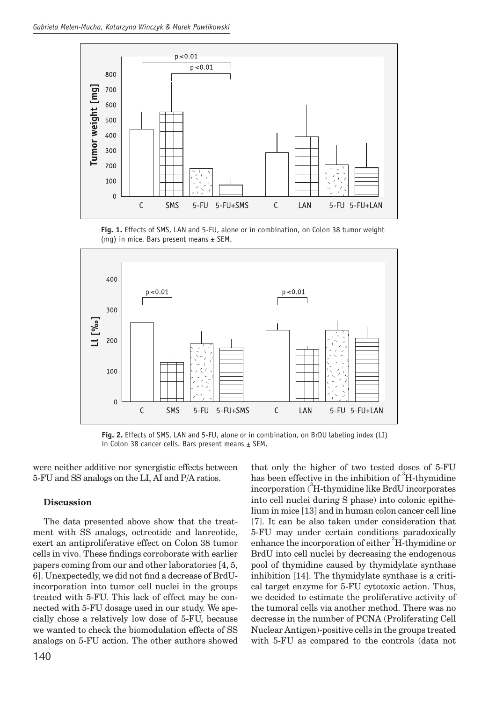

**Fig. 1.** Effects of SMS, LAN and 5-FU, alone or in combination, on Colon 38 tumor weight (mq) in mice. Bars present means  $\pm$  SEM.



**Fig. 2.** Effects of SMS, LAN and 5-FU, alone or in combination, on BrDU labeling index (LI) in Colon 38 cancer cells. Bars present means  $\pm$  SEM.

were neither additive nor synergistic effects between 5-FU and SS analogs on the LI, AI and P/A ratios.

## **Discussion**

The data presented above show that the treatment with SS analogs, octreotide and lanreotide, exert an antiproliferative effect on Colon 38 tumor cells in vivo. These findings corroborate with earlier papers coming from our and other laboratories [4, 5, 6]. Unexpectedly, we did not find a decrease of BrdUincorporation into tumor cell nuclei in the groups treated with 5-FU. This lack of effect may be connected with 5-FU dosage used in our study. We specially chose a relatively low dose of 5-FU, because we wanted to check the biomodulation effects of SS analogs on 5-FU action. The other authors showed that only the higher of two tested doses of 5-FU has been effective in the inhibition of  ${}^{3}$ H-thymidine incorporation (<sup>3</sup>H-thymidine like BrdU incorporates into cell nuclei during S phase) into colonic epithelium in mice [13] and in human colon cancer cell line [7]. It can be also taken under consideration that 5-FU may under certain conditions paradoxically enhance the incorporation of either <sup>3</sup>H-thymidine or BrdU into cell nuclei by decreasing the endogenous pool of thymidine caused by thymidylate synthase inhibition [14]. The thymidylate synthase is a critical target enzyme for 5-FU cytotoxic action. Thus, we decided to estimate the proliferative activity of the tumoral cells via another method. There was no decrease in the number of PCNA (Proliferating Cell Nuclear Antigen)-positive cells in the groups treated with 5-FU as compared to the controls (data not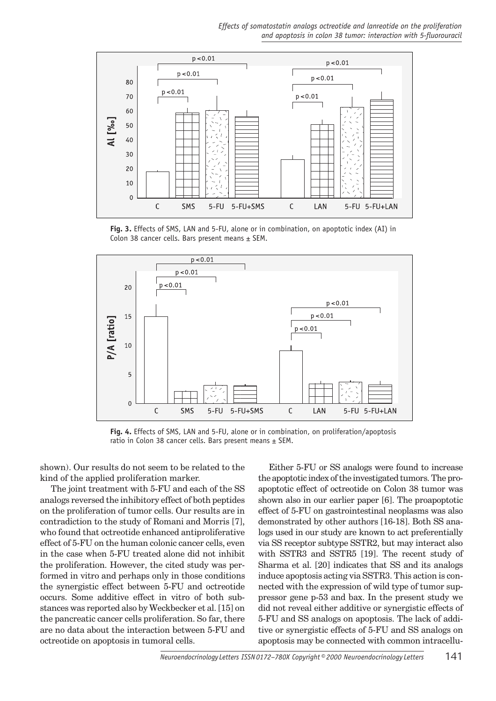*Effects of somatostatin analogs octreotide and lanreotide on the proliferation*  and apoptosis in colon 38 tumor: interaction with 5-fluorouracil



**Fig. 3.** Effects of SMS, LAN and 5-FU, alone or in combination, on apoptotic index (AI) in Colon 38 cancer cells. Bars present means  $\pm$  SEM.



**Fig. 4.** Effects of SMS, LAN and 5-FU, alone or in combination, on proliferation/apoptosis ratio in Colon 38 cancer cells. Bars present means  $\pm$  SEM.

shown). Our results do not seem to be related to the kind of the applied proliferation marker.

The joint treatment with 5-FU and each of the SS analogs reversed the inhibitory effect of both peptides on the proliferation of tumor cells. Our results are in contradiction to the study of Romani and Morris [7], who found that octreotide enhanced antiproliferative effect of 5-FU on the human colonic cancer cells, even in the case when 5-FU treated alone did not inhibit the proliferation. However, the cited study was performed in vitro and perhaps only in those conditions the synergistic effect between 5-FU and octreotide occurs. Some additive effect in vitro of both substances was reported also by Weckbecker et al. [15] on the pancreatic cancer cells proliferation. So far, there are no data about the interaction between 5-FU and octreotide on apoptosis in tumoral cells.

Either 5-FU or SS analogs were found to increase the apoptotic index of the investigated tumors. The proapoptotic effect of octreotide on Colon 38 tumor was shown also in our earlier paper [6]. The proapoptotic effect of 5-FU on gastrointestinal neoplasms was also demonstrated by other authors [16-18]. Both SS analogs used in our study are known to act preferentially via SS receptor subtype SSTR2, but may interact also with SSTR3 and SSTR5 [19]. The recent study of Sharma et al. [20] indicates that SS and its analogs induce apoptosis acting via SSTR3. This action is connected with the expression of wild type of tumor suppressor gene p-53 and bax. In the present study we did not reveal either additive or synergistic effects of 5-FU and SS analogs on apoptosis. The lack of additive or synergistic effects of 5-FU and SS analogs on apoptosis may be connected with common intracellu